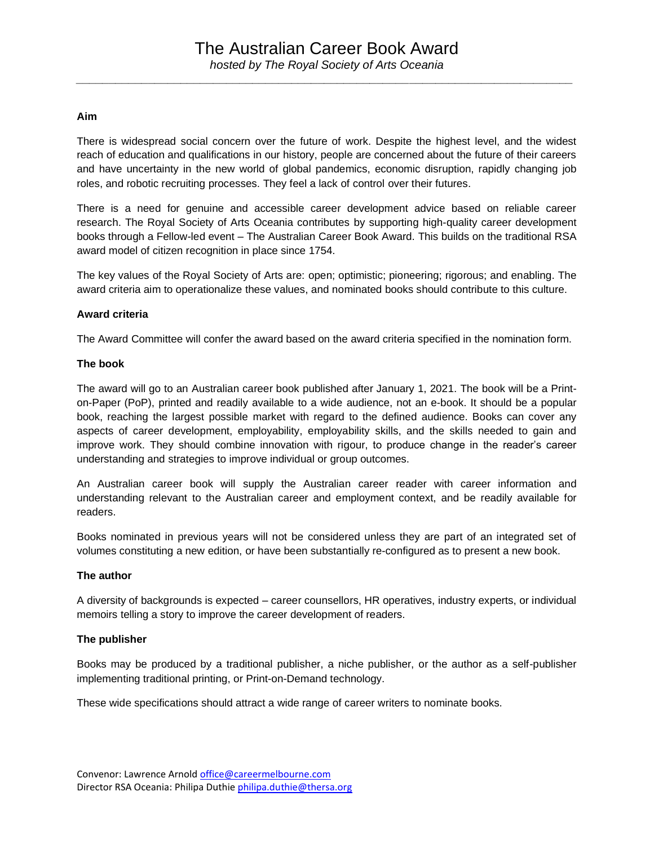*\_\_\_\_\_\_\_\_\_\_\_\_\_\_\_\_\_\_\_\_\_\_\_\_\_\_\_\_\_\_\_\_\_\_\_\_\_\_\_\_\_\_\_\_\_\_\_\_\_\_\_\_\_\_\_\_\_\_\_\_\_\_\_\_\_\_\_\_\_\_\_\_\_\_\_\_*

### **Aim**

There is widespread social concern over the future of work. Despite the highest level, and the widest reach of education and qualifications in our history, people are concerned about the future of their careers and have uncertainty in the new world of global pandemics, economic disruption, rapidly changing job roles, and robotic recruiting processes. They feel a lack of control over their futures.

There is a need for genuine and accessible career development advice based on reliable career research. The Royal Society of Arts Oceania contributes by supporting high-quality career development books through a Fellow-led event – The Australian Career Book Award. This builds on the traditional RSA award model of citizen recognition in place since 1754.

The key values of the Royal Society of Arts are: open; optimistic; pioneering; rigorous; and enabling. The award criteria aim to operationalize these values, and nominated books should contribute to this culture.

### **Award criteria**

The Award Committee will confer the award based on the award criteria specified in the nomination form.

### **The book**

The award will go to an Australian career book published after January 1, 2021. The book will be a Printon-Paper (PoP), printed and readily available to a wide audience, not an e-book. It should be a popular book, reaching the largest possible market with regard to the defined audience. Books can cover any aspects of career development, employability, employability skills, and the skills needed to gain and improve work. They should combine innovation with rigour, to produce change in the reader's career understanding and strategies to improve individual or group outcomes.

An Australian career book will supply the Australian career reader with career information and understanding relevant to the Australian career and employment context, and be readily available for readers.

Books nominated in previous years will not be considered unless they are part of an integrated set of volumes constituting a new edition, or have been substantially re-configured as to present a new book.

#### **The author**

A diversity of backgrounds is expected – career counsellors, HR operatives, industry experts, or individual memoirs telling a story to improve the career development of readers.

## **The publisher**

Books may be produced by a traditional publisher, a niche publisher, or the author as a self-publisher implementing traditional printing, or Print-on-Demand technology.

These wide specifications should attract a wide range of career writers to nominate books.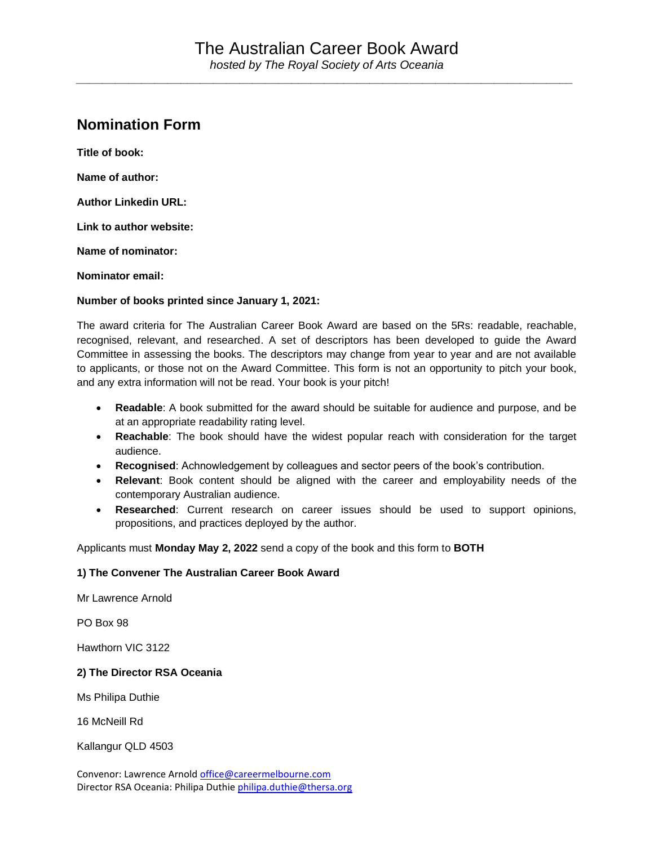*\_\_\_\_\_\_\_\_\_\_\_\_\_\_\_\_\_\_\_\_\_\_\_\_\_\_\_\_\_\_\_\_\_\_\_\_\_\_\_\_\_\_\_\_\_\_\_\_\_\_\_\_\_\_\_\_\_\_\_\_\_\_\_\_\_\_\_\_\_\_\_\_\_\_\_\_*

# **Nomination Form**

**Title of book: Name of author: Author Linkedin URL: Link to author website: Name of nominator: Nominator email:**

**Number of books printed since January 1, 2021:**

The award criteria for The Australian Career Book Award are based on the 5Rs: readable, reachable, recognised, relevant, and researched. A set of descriptors has been developed to guide the Award Committee in assessing the books. The descriptors may change from year to year and are not available to applicants, or those not on the Award Committee. This form is not an opportunity to pitch your book, and any extra information will not be read. Your book is your pitch!

- **Readable**: A book submitted for the award should be suitable for audience and purpose, and be at an appropriate readability rating level.
- **Reachable**: The book should have the widest popular reach with consideration for the target audience.
- **Recognised**: Achnowledgement by colleagues and sector peers of the book's contribution.
- **Relevant**: Book content should be aligned with the career and employability needs of the contemporary Australian audience.
- **Researched**: Current research on career issues should be used to support opinions, propositions, and practices deployed by the author.

Applicants must **Monday May 2, 2022** send a copy of the book and this form to **BOTH**

## **1) The Convener The Australian Career Book Award**

Mr Lawrence Arnold

PO Box 98

Hawthorn VIC 3122

## **2) The Director RSA Oceania**

Ms Philipa Duthie

16 McNeill Rd

Kallangur QLD 4503

Convenor: Lawrence Arnold [office@careermelbourne.com](mailto:office@careermelbourne.com) Director RSA Oceania: Philipa Duthi[e philipa.duthie@thersa.org](mailto:philipa.duthie@thersa.org)